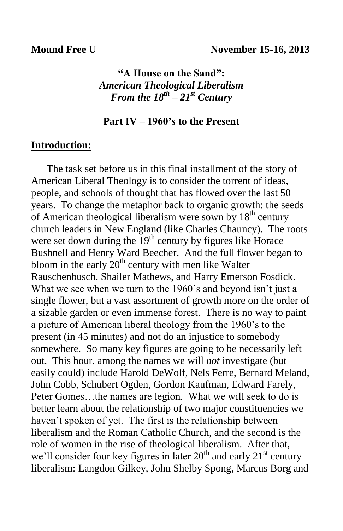**"A House on the Sand":** *American Theological Liberalism From the 18th – 21st Century*

#### **Part IV – 1960's to the Present**

## **Introduction:**

 The task set before us in this final installment of the story of American Liberal Theology is to consider the torrent of ideas, people, and schools of thought that has flowed over the last 50 years. To change the metaphor back to organic growth: the seeds of American theological liberalism were sown by  $18<sup>th</sup>$  century church leaders in New England (like Charles Chauncy). The roots were set down during the  $19<sup>th</sup>$  century by figures like Horace Bushnell and Henry Ward Beecher. And the full flower began to bloom in the early  $20<sup>th</sup>$  century with men like Walter Rauschenbusch, Shailer Mathews, and Harry Emerson Fosdick. What we see when we turn to the 1960's and beyond isn't just a single flower, but a vast assortment of growth more on the order of a sizable garden or even immense forest. There is no way to paint a picture of American liberal theology from the 1960's to the present (in 45 minutes) and not do an injustice to somebody somewhere. So many key figures are going to be necessarily left out. This hour, among the names we will *not* investigate (but easily could) include Harold DeWolf, Nels Ferre, Bernard Meland, John Cobb, Schubert Ogden, Gordon Kaufman, Edward Farely, Peter Gomes…the names are legion. What we will seek to do is better learn about the relationship of two major constituencies we haven't spoken of yet. The first is the relationship between liberalism and the Roman Catholic Church, and the second is the role of women in the rise of theological liberalism. After that, we'll consider four key figures in later  $20<sup>th</sup>$  and early  $21<sup>st</sup>$  century liberalism: Langdon Gilkey, John Shelby Spong, Marcus Borg and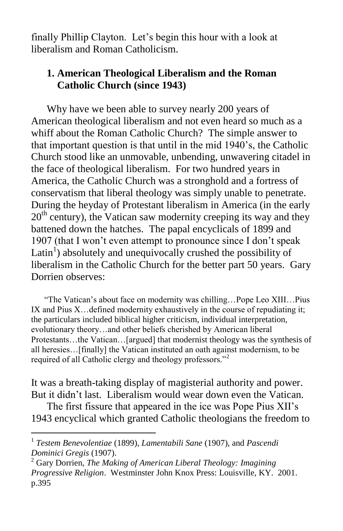finally Phillip Clayton. Let's begin this hour with a look at liberalism and Roman Catholicism.

## **1. American Theological Liberalism and the Roman Catholic Church (since 1943)**

 Why have we been able to survey nearly 200 years of American theological liberalism and not even heard so much as a whiff about the Roman Catholic Church? The simple answer to that important question is that until in the mid 1940's, the Catholic Church stood like an unmovable, unbending, unwavering citadel in the face of theological liberalism. For two hundred years in America, the Catholic Church was a stronghold and a fortress of conservatism that liberal theology was simply unable to penetrate. During the heyday of Protestant liberalism in America (in the early  $20<sup>th</sup>$  century), the Vatican saw modernity creeping its way and they battened down the hatches. The papal encyclicals of 1899 and 1907 (that I won't even attempt to pronounce since I don't speak Latin<sup>1</sup>) absolutely and unequivocally crushed the possibility of liberalism in the Catholic Church for the better part 50 years. Gary Dorrien observes:

 "The Vatican's about face on modernity was chilling…Pope Leo XIII…Pius IX and Pius X…defined modernity exhaustively in the course of repudiating it; the particulars included biblical higher criticism, individual interpretation, evolutionary theory…and other beliefs cherished by American liberal Protestants…the Vatican…[argued] that modernist theology was the synthesis of all heresies…[finally] the Vatican instituted an oath against modernism, to be required of all Catholic clergy and theology professors."<sup>2</sup>

It was a breath-taking display of magisterial authority and power. But it didn't last. Liberalism would wear down even the Vatican.

 The first fissure that appeared in the ice was Pope Pius XII's 1943 encyclical which granted Catholic theologians the freedom to

 1 *Testem Benevolentiae* (1899), *Lamentabili Sane* (1907), and *Pascendi Dominici Gregis* (1907).

<sup>2</sup> Gary Dorrien, *The Making of American Liberal Theology: Imagining Progressive Religion*. Westminster John Knox Press: Louisville, KY. 2001. p.395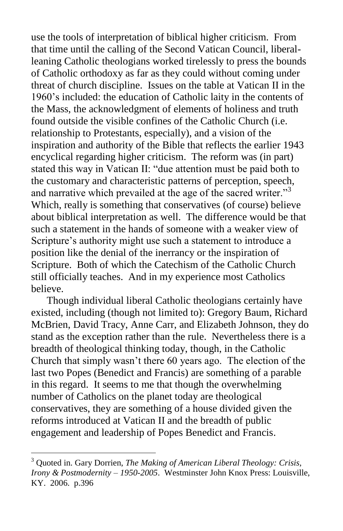use the tools of interpretation of biblical higher criticism. From that time until the calling of the Second Vatican Council, liberalleaning Catholic theologians worked tirelessly to press the bounds of Catholic orthodoxy as far as they could without coming under threat of church discipline. Issues on the table at Vatican II in the 1960's included: the education of Catholic laity in the contents of the Mass, the acknowledgment of elements of holiness and truth found outside the visible confines of the Catholic Church (i.e. relationship to Protestants, especially), and a vision of the inspiration and authority of the Bible that reflects the earlier 1943 encyclical regarding higher criticism. The reform was (in part) stated this way in Vatican II: "due attention must be paid both to the customary and characteristic patterns of perception, speech, and narrative which prevailed at the age of the sacred writer."<sup>3</sup> Which, really is something that conservatives (of course) believe about biblical interpretation as well. The difference would be that such a statement in the hands of someone with a weaker view of Scripture's authority might use such a statement to introduce a position like the denial of the inerrancy or the inspiration of Scripture. Both of which the Catechism of the Catholic Church still officially teaches. And in my experience most Catholics believe.

 Though individual liberal Catholic theologians certainly have existed, including (though not limited to): Gregory Baum, Richard McBrien, David Tracy, Anne Carr, and Elizabeth Johnson, they do stand as the exception rather than the rule. Nevertheless there is a breadth of theological thinking today, though, in the Catholic Church that simply wasn't there 60 years ago. The election of the last two Popes (Benedict and Francis) are something of a parable in this regard. It seems to me that though the overwhelming number of Catholics on the planet today are theological conservatives, they are something of a house divided given the reforms introduced at Vatican II and the breadth of public engagement and leadership of Popes Benedict and Francis.

<sup>3</sup> Quoted in. Gary Dorrien, *The Making of American Liberal Theology: Crisis, Irony & Postmodernity – 1950-2005*. Westminster John Knox Press: Louisville, KY. 2006. p.396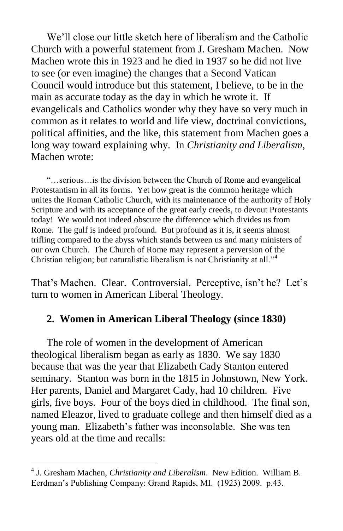We'll close our little sketch here of liberalism and the Catholic Church with a powerful statement from J. Gresham Machen. Now Machen wrote this in 1923 and he died in 1937 so he did not live to see (or even imagine) the changes that a Second Vatican Council would introduce but this statement, I believe, to be in the main as accurate today as the day in which he wrote it. If evangelicals and Catholics wonder why they have so very much in common as it relates to world and life view, doctrinal convictions, political affinities, and the like, this statement from Machen goes a long way toward explaining why. In *Christianity and Liberalism*, Machen wrote:

 "…serious…is the division between the Church of Rome and evangelical Protestantism in all its forms. Yet how great is the common heritage which unites the Roman Catholic Church, with its maintenance of the authority of Holy Scripture and with its acceptance of the great early creeds, to devout Protestants today! We would not indeed obscure the difference which divides us from Rome. The gulf is indeed profound. But profound as it is, it seems almost trifling compared to the abyss which stands between us and many ministers of our own Church. The Church of Rome may represent a perversion of the Christian religion; but naturalistic liberalism is not Christianity at all."<sup>4</sup>

That's Machen. Clear. Controversial. Perceptive, isn't he? Let's turn to women in American Liberal Theology.

## **2. Women in American Liberal Theology (since 1830)**

 The role of women in the development of American theological liberalism began as early as 1830. We say 1830 because that was the year that Elizabeth Cady Stanton entered seminary. Stanton was born in the 1815 in Johnstown, New York. Her parents, Daniel and Margaret Cady, had 10 children. Five girls, five boys. Four of the boys died in childhood. The final son, named Eleazor, lived to graduate college and then himself died as a young man. Elizabeth's father was inconsolable. She was ten years old at the time and recalls:

<sup>4</sup> J. Gresham Machen, *Christianity and Liberalism*. New Edition. William B. Eerdman's Publishing Company: Grand Rapids, MI. (1923) 2009. p.43.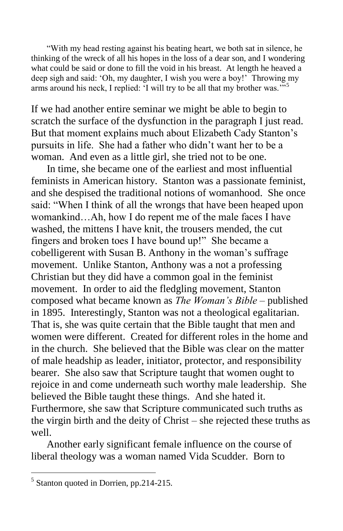"With my head resting against his beating heart, we both sat in silence, he thinking of the wreck of all his hopes in the loss of a dear son, and I wondering what could be said or done to fill the void in his breast. At length he heaved a deep sigh and said: 'Oh, my daughter, I wish you were a boy!' Throwing my arms around his neck, I replied: 'I will try to be all that my brother was.'"<sup>5</sup>

If we had another entire seminar we might be able to begin to scratch the surface of the dysfunction in the paragraph I just read. But that moment explains much about Elizabeth Cady Stanton's pursuits in life. She had a father who didn't want her to be a woman. And even as a little girl, she tried not to be one.

 In time, she became one of the earliest and most influential feminists in American history. Stanton was a passionate feminist, and she despised the traditional notions of womanhood. She once said: "When I think of all the wrongs that have been heaped upon womankind…Ah, how I do repent me of the male faces I have washed, the mittens I have knit, the trousers mended, the cut fingers and broken toes I have bound up!" She became a cobelligerent with Susan B. Anthony in the woman's suffrage movement. Unlike Stanton, Anthony was a not a professing Christian but they did have a common goal in the feminist movement. In order to aid the fledgling movement, Stanton composed what became known as *The Woman's Bible* – published in 1895. Interestingly, Stanton was not a theological egalitarian. That is, she was quite certain that the Bible taught that men and women were different. Created for different roles in the home and in the church. She believed that the Bible was clear on the matter of male headship as leader, initiator, protector, and responsibility bearer. She also saw that Scripture taught that women ought to rejoice in and come underneath such worthy male leadership. She believed the Bible taught these things. And she hated it. Furthermore, she saw that Scripture communicated such truths as the virgin birth and the deity of Christ – she rejected these truths as well.

 Another early significant female influence on the course of liberal theology was a woman named Vida Scudder. Born to

<sup>5</sup> Stanton quoted in Dorrien, pp.214-215.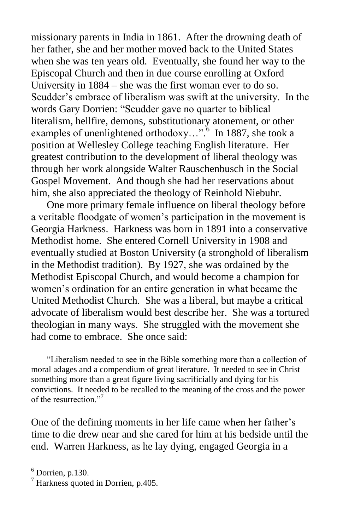missionary parents in India in 1861. After the drowning death of her father, she and her mother moved back to the United States when she was ten years old. Eventually, she found her way to the Episcopal Church and then in due course enrolling at Oxford University in 1884 – she was the first woman ever to do so. Scudder's embrace of liberalism was swift at the university. In the words Gary Dorrien: "Scudder gave no quarter to biblical literalism, hellfire, demons, substitutionary atonement, or other examples of unenlightened orthodoxy...".<sup>6</sup> In 1887, she took a position at Wellesley College teaching English literature. Her greatest contribution to the development of liberal theology was through her work alongside Walter Rauschenbusch in the Social Gospel Movement. And though she had her reservations about him, she also appreciated the theology of Reinhold Niebuhr.

 One more primary female influence on liberal theology before a veritable floodgate of women's participation in the movement is Georgia Harkness. Harkness was born in 1891 into a conservative Methodist home. She entered Cornell University in 1908 and eventually studied at Boston University (a stronghold of liberalism in the Methodist tradition). By 1927, she was ordained by the Methodist Episcopal Church, and would become a champion for women's ordination for an entire generation in what became the United Methodist Church. She was a liberal, but maybe a critical advocate of liberalism would best describe her. She was a tortured theologian in many ways. She struggled with the movement she had come to embrace. She once said:

 "Liberalism needed to see in the Bible something more than a collection of moral adages and a compendium of great literature. It needed to see in Christ something more than a great figure living sacrificially and dying for his convictions. It needed to be recalled to the meaning of the cross and the power of the resurrection."<sup>7</sup>

One of the defining moments in her life came when her father's time to die drew near and she cared for him at his bedside until the end. Warren Harkness, as he lay dying, engaged Georgia in a

 $6$  Dorrien, p.130.

<sup>7</sup> Harkness quoted in Dorrien, p.405.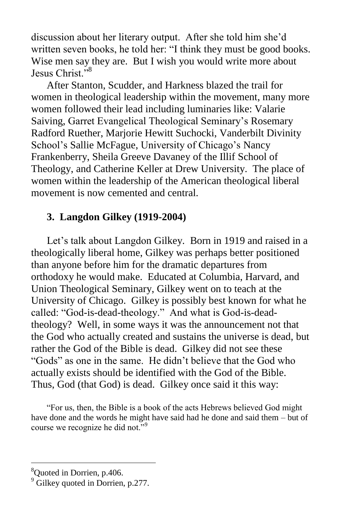discussion about her literary output. After she told him she'd written seven books, he told her: "I think they must be good books. Wise men say they are. But I wish you would write more about Jesus Christ."<sup>8</sup>

 After Stanton, Scudder, and Harkness blazed the trail for women in theological leadership within the movement, many more women followed their lead including luminaries like: Valarie Saiving, Garret Evangelical Theological Seminary's Rosemary Radford Ruether, Marjorie Hewitt Suchocki, Vanderbilt Divinity School's Sallie McFague, University of Chicago's Nancy Frankenberry, Sheila Greeve Davaney of the Illif School of Theology, and Catherine Keller at Drew University. The place of women within the leadership of the American theological liberal movement is now cemented and central.

#### **3. Langdon Gilkey (1919-2004)**

Let's talk about Langdon Gilkey. Born in 1919 and raised in a theologically liberal home, Gilkey was perhaps better positioned than anyone before him for the dramatic departures from orthodoxy he would make. Educated at Columbia, Harvard, and Union Theological Seminary, Gilkey went on to teach at the University of Chicago. Gilkey is possibly best known for what he called: "God-is-dead-theology." And what is God-is-deadtheology? Well, in some ways it was the announcement not that the God who actually created and sustains the universe is dead, but rather the God of the Bible is dead. Gilkey did not see these "Gods" as one in the same. He didn't believe that the God who actually exists should be identified with the God of the Bible. Thus, God (that God) is dead. Gilkey once said it this way:

 "For us, then, the Bible is a book of the acts Hebrews believed God might have done and the words he might have said had he done and said them – but of course we recognize he did not."<sup>9</sup>

<sup>8</sup>Quoted in Dorrien, p.406.

 $9^9$  Gilkey quoted in Dorrien, p.277.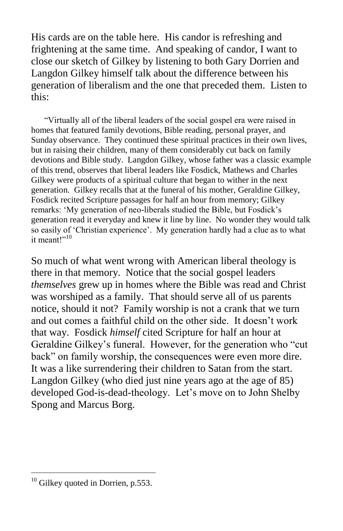His cards are on the table here. His candor is refreshing and frightening at the same time. And speaking of candor, I want to close our sketch of Gilkey by listening to both Gary Dorrien and Langdon Gilkey himself talk about the difference between his generation of liberalism and the one that preceded them. Listen to this:

 "Virtually all of the liberal leaders of the social gospel era were raised in homes that featured family devotions, Bible reading, personal prayer, and Sunday observance. They continued these spiritual practices in their own lives, but in raising their children, many of them considerably cut back on family devotions and Bible study. Langdon Gilkey, whose father was a classic example of this trend, observes that liberal leaders like Fosdick, Mathews and Charles Gilkey were products of a spiritual culture that began to wither in the next generation. Gilkey recalls that at the funeral of his mother, Geraldine Gilkey, Fosdick recited Scripture passages for half an hour from memory; Gilkey remarks: 'My generation of neo-liberals studied the Bible, but Fosdick's generation read it everyday and knew it line by line. No wonder they would talk so easily of 'Christian experience'. My generation hardly had a clue as to what it meant!"<sup>10</sup>

So much of what went wrong with American liberal theology is there in that memory. Notice that the social gospel leaders *themselves* grew up in homes where the Bible was read and Christ was worshiped as a family. That should serve all of us parents notice, should it not? Family worship is not a crank that we turn and out comes a faithful child on the other side. It doesn't work that way. Fosdick *himself* cited Scripture for half an hour at Geraldine Gilkey's funeral. However, for the generation who "cut back" on family worship, the consequences were even more dire. It was a like surrendering their children to Satan from the start. Langdon Gilkey (who died just nine years ago at the age of 85) developed God-is-dead-theology. Let's move on to John Shelby Spong and Marcus Borg.

 $10$  Gilkey quoted in Dorrien, p.553.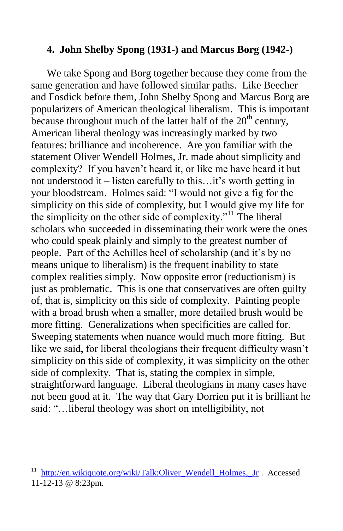## **4. John Shelby Spong (1931-) and Marcus Borg (1942-)**

 We take Spong and Borg together because they come from the same generation and have followed similar paths. Like Beecher and Fosdick before them, John Shelby Spong and Marcus Borg are popularizers of American theological liberalism. This is important because throughout much of the latter half of the  $20<sup>th</sup>$  century, American liberal theology was increasingly marked by two features: brilliance and incoherence. Are you familiar with the statement Oliver Wendell Holmes, Jr. made about simplicity and complexity? If you haven't heard it, or like me have heard it but not understood it – listen carefully to this…it's worth getting in your bloodstream. Holmes said: "I would not give a fig for the simplicity on this side of complexity, but I would give my life for the simplicity on the other side of complexity."<sup>11</sup> The liberal scholars who succeeded in disseminating their work were the ones who could speak plainly and simply to the greatest number of people. Part of the Achilles heel of scholarship (and it's by no means unique to liberalism) is the frequent inability to state complex realities simply. Now opposite error (reductionism) is just as problematic. This is one that conservatives are often guilty of, that is, simplicity on this side of complexity. Painting people with a broad brush when a smaller, more detailed brush would be more fitting. Generalizations when specificities are called for. Sweeping statements when nuance would much more fitting. But like we said, for liberal theologians their frequent difficulty wasn't simplicity on this side of complexity, it was simplicity on the other side of complexity. That is, stating the complex in simple, straightforward language. Liberal theologians in many cases have not been good at it. The way that Gary Dorrien put it is brilliant he said: "…liberal theology was short on intelligibility, not

http://en.wikiquote.org/wiki/Talk:Oliver\_Wendell\_Holmes, Jr . Accessed 11-12-13 @ 8:23pm.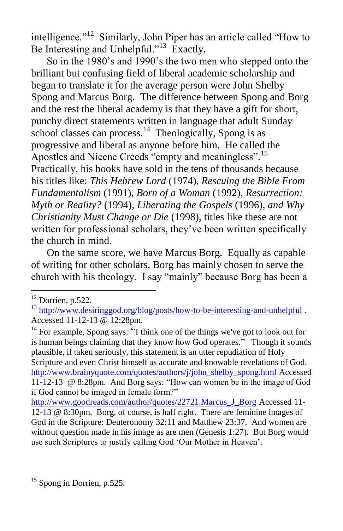intelligence."<sup>12</sup> Similarly, John Piper has an article called "How to Be Interesting and Unhelpful."<sup>13</sup> Exactly.

 So in the 1980's and 1990's the two men who stepped onto the brilliant but confusing field of liberal academic scholarship and began to translate it for the average person were John Shelby Spong and Marcus Borg. The difference between Spong and Borg and the rest the liberal academy is that they have a gift for short, punchy direct statements written in language that adult Sunday school classes can process. $<sup>14</sup>$  Theologically, Spong is as</sup> progressive and liberal as anyone before him. He called the Apostles and Nicene Creeds "empty and meaningless".<sup>15</sup> Practically, his books have sold in the tens of thousands because his titles like: *This Hebrew Lord* (1974)*, Rescuing the Bible From Fundamentalism* (1991)*, Born of a Woman* (1992)*, Resurrection: Myth or Reality?* (1994)*, Liberating the Gospels* (1996)*, and Why Christianity Must Change or Die* (1998), titles like these are not written for professional scholars, they've been written specifically the church in mind.

 On the same score, we have Marcus Borg. Equally as capable of writing for other scholars, Borg has mainly chosen to serve the church with his theology. I say "mainly" because Borg has been a

 $\overline{a}$ 

<sup>14</sup> For example, Spong says: "I think one of the things we've got to look out for [is human beings claiming that they know how God operates."](http://www.brainyquote.com/quotes/quotes/j/johnshelby478889.html) Though it sounds plausible, if taken seriously, this statement is an utter repudiation of Holy Scripture and even Christ himself as accurate and knowable revelations of God. [http://www.brainyquote.com/quotes/authors/j/john\\_shelby\\_spong.html](http://www.brainyquote.com/quotes/authors/j/john_shelby_spong.html) Accessed 11-12-13 @ 8:28pm. And Borg says: "How can women be in the image of God if God cannot be imaged in female form?"

[http://www.goodreads.com/author/quotes/22721.Marcus\\_J\\_Borg](http://www.goodreads.com/author/quotes/22721.Marcus_J_Borg) Accessed 11-12-13 @ 8:30pm. Borg, of course, is half right. There are feminine images of God in the Scripture: Deuteronomy 32:11 and Matthew 23:37. And women are without question made in his image as are men (Genesis 1:27). But Borg would use such Scriptures to justify calling God 'Our Mother in Heaven'.

 $12$  Dorrien, p.522.

<sup>&</sup>lt;sup>13</sup> <http://www.desiringgod.org/blog/posts/how-to-be-interesting-and-unhelpful>. Accessed 11-12-13 @ 12:28pm.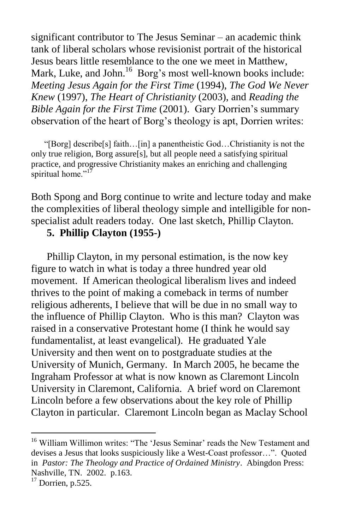significant contributor to The Jesus Seminar – an academic think tank of liberal scholars whose revisionist portrait of the historical Jesus bears little resemblance to the one we meet in Matthew, Mark, Luke, and John.<sup>16</sup> Borg's most well-known books include: *Meeting Jesus Again for the First Time* (1994), *The God We Never Knew* (1997), *The Heart of Christianity* (2003), and *Reading the Bible Again for the First Time* (2001). Gary Dorrien's summary observation of the heart of Borg's theology is apt, Dorrien writes:

 "[Borg] describe[s] faith…[in] a panentheistic God…Christianity is not the only true religion, Borg assure[s], but all people need a satisfying spiritual practice, and progressive Christianity makes an enriching and challenging spiritual home."<sup>17</sup>

Both Spong and Borg continue to write and lecture today and make the complexities of liberal theology simple and intelligible for nonspecialist adult readers today. One last sketch, Phillip Clayton.

# **5. Phillip Clayton (1955-)**

 Phillip Clayton, in my personal estimation, is the now key figure to watch in what is today a three hundred year old movement. If American theological liberalism lives and indeed thrives to the point of making a comeback in terms of number religious adherents, I believe that will be due in no small way to the influence of Phillip Clayton. Who is this man? Clayton was raised in a conservative Protestant home (I think he would say fundamentalist, at least evangelical). He graduated Yale University and then went on to postgraduate studies at the University of Munich, Germany. In March 2005, he became the Ingraham Professor at what is now known as Claremont Lincoln University in Claremont, California. A brief word on Claremont Lincoln before a few observations about the key role of Phillip Clayton in particular. Claremont Lincoln began as Maclay School

<sup>&</sup>lt;sup>16</sup> William Willimon writes: "The 'Jesus Seminar' reads the New Testament and devises a Jesus that looks suspiciously like a West-Coast professor…". Quoted in *Pastor: The Theology and Practice of Ordained Ministry*. Abingdon Press: Nashville, TN. 2002. p.163.

 $17$  Dorrien, p.525.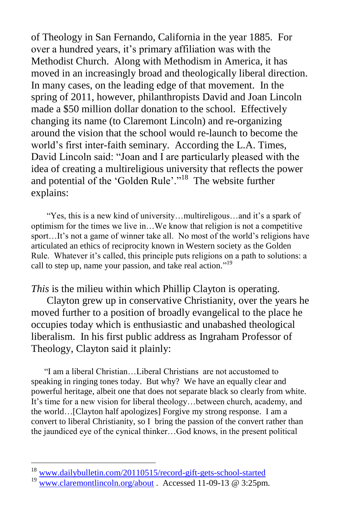of Theology in San Fernando, California in the year 1885. For over a hundred years, it's primary affiliation was with the Methodist Church. Along with Methodism in America, it has moved in an increasingly broad and theologically liberal direction. In many cases, on the leading edge of that movement. In the spring of 2011, however, philanthropists David and Joan Lincoln made a \$50 million dollar donation to the school. Effectively changing its name (to Claremont Lincoln) and re-organizing around the vision that the school would re-launch to become the world's first inter-faith seminary. According the L.A. Times, David Lincoln said: "Joan and I are particularly pleased with the idea of creating a multireligious university that reflects the power and potential of the 'Golden Rule'."<sup>18</sup> The website further explains:

 "Yes, this is a new kind of university…multireligous…and it's a spark of optimism for the times we live in…We know that religion is not a competitive sport…It's not a game of winner take all. No most of the world's religions have articulated an ethics of reciprocity known in Western society as the Golden Rule. Whatever it's called, this principle puts religions on a path to solutions: a call to step up, name your passion, and take real action."<sup>19</sup>

*This* is the milieu within which Phillip Clayton is operating.

 Clayton grew up in conservative Christianity, over the years he moved further to a position of broadly evangelical to the place he occupies today which is enthusiastic and unabashed theological liberalism. In his first public address as Ingraham Professor of Theology, Clayton said it plainly:

 "I am a liberal Christian…Liberal Christians are not accustomed to speaking in ringing tones today. But why? We have an equally clear and powerful heritage, albeit one that does not separate black so clearly from white. It's time for a new vision for liberal theology…between church, academy, and the world…[Clayton half apologizes] Forgive my strong response. I am a convert to liberal Christianity, so I bring the passion of the convert rather than the jaundiced eye of the cynical thinker…God knows, in the present political

<sup>18</sup> [www.dailybulletin.com/20110515/record-gift-gets-school-started](http://www.dailybulletin.com/20110515/record-gift-gets-school-started)

 $19$  [www.claremontlincoln.org/about](http://www.claremontlincoln.org/about) . Accessed 11-09-13 @ 3:25pm.